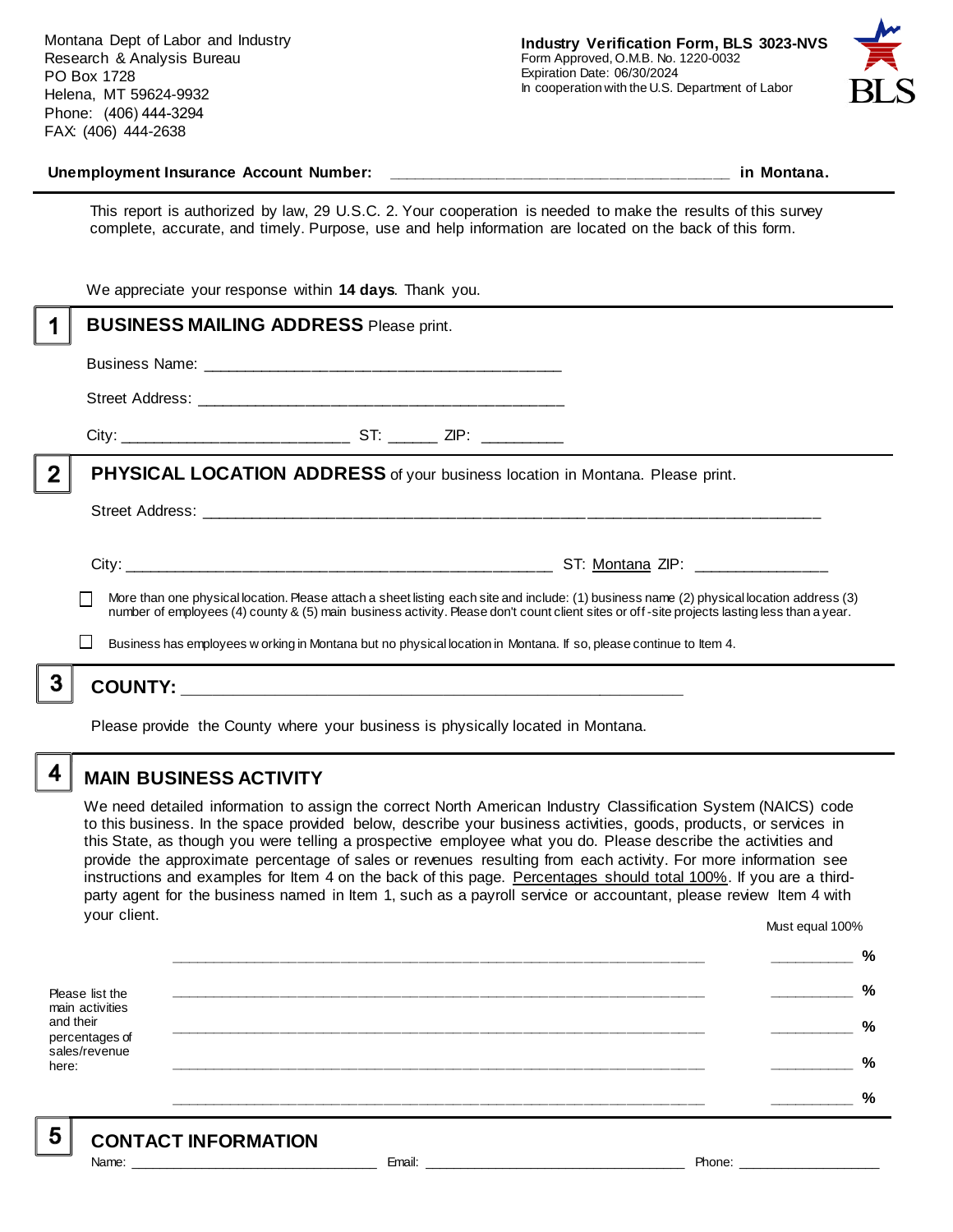Montana Dept of Labor and Industry Research & Analysis Bureau PO Box 1728 Helena, MT 59624-9932 Phone: (406) 444-3294 FAX: (406) 444-2638



#### **Unemployment Insurance Account Number: \_\_\_\_\_\_\_\_\_\_\_\_\_\_\_\_\_\_\_\_\_\_\_\_\_\_\_\_\_\_\_\_\_\_\_\_\_\_\_\_ in Montana.**

This report is authorized by law, 29 U.S.C. 2. Your cooperation is needed to make the results of this survey complete, accurate, and timely. Purpose, use and help information are located on the back of this form.

|   | We appreciate your response within 14 days. Thank you.                                                                                                                                                                                                                                   |  |
|---|------------------------------------------------------------------------------------------------------------------------------------------------------------------------------------------------------------------------------------------------------------------------------------------|--|
|   | <b>BUSINESS MAILING ADDRESS Please print.</b>                                                                                                                                                                                                                                            |  |
|   |                                                                                                                                                                                                                                                                                          |  |
|   |                                                                                                                                                                                                                                                                                          |  |
|   |                                                                                                                                                                                                                                                                                          |  |
| 2 | <b>PHYSICAL LOCATION ADDRESS</b> of your business location in Montana. Please print.                                                                                                                                                                                                     |  |
|   |                                                                                                                                                                                                                                                                                          |  |
|   |                                                                                                                                                                                                                                                                                          |  |
|   | More than one physical location. Please attach a sheet listing each site and include: (1) business name (2) physical location address (3)<br>number of employees (4) county & (5) main business activity. Please don't count client sites or off-site projects lasting less than a year. |  |
|   | Business has employees w orking in Montana but no physical location in Montana. If so, please continue to Item 4.                                                                                                                                                                        |  |
|   |                                                                                                                                                                                                                                                                                          |  |
|   | . A shekarar 1980 ta 1980 na kasa ta 1980 na kasa ta 1980 na kasa ta 1980 na kasa ta 1980 na kasa ta 2011. A s                                                                                                                                                                           |  |

Please provide the County where your business is physically located in Montana.

4

5

### **MAIN BUSINESS ACTIVITY**

We need detailed information to assign the correct North American Industry Classification System (NAICS) code to this business. In the space provided below, describe your business activities, goods, products, or services in this State, as though you were telling a prospective employee what you do. Please describe the activities and provide the approximate percentage of sales or revenues resulting from each activity. For more information see instructions and examples for Item 4 on the back of this page. Percentages should total 100%. If you are a thirdparty agent for the business named in Item 1, such as a payroll service or accountant, please review Item 4 with your client. Must equal 100%

Please list the main activities and their percentages of sales/revenue here: **\_\_\_\_\_\_\_\_\_\_\_\_\_\_\_\_\_\_\_\_\_\_\_\_\_\_\_\_\_\_\_\_\_\_\_\_\_\_\_\_\_\_\_\_\_\_\_\_\_\_\_\_\_\_\_\_\_\_\_\_\_\_ \_\_\_\_\_\_\_\_\_\_ % \_\_\_\_\_\_\_\_\_\_\_\_\_\_\_\_\_\_\_\_\_\_\_\_\_\_\_\_\_\_\_\_\_\_\_\_\_\_\_\_\_\_\_\_\_\_\_\_\_\_\_\_\_\_\_\_\_\_\_\_\_\_ \_\_\_\_\_\_\_\_\_\_ % \_\_\_\_\_\_\_\_\_\_\_\_\_\_\_\_\_\_\_\_\_\_\_\_\_\_\_\_\_\_\_\_\_\_\_\_\_\_\_\_\_\_\_\_\_\_\_\_\_\_\_\_\_\_\_\_\_\_\_\_\_\_ \_\_\_\_\_\_\_\_\_\_ % \_\_\_\_\_\_\_\_\_\_\_\_\_\_\_\_\_\_\_\_\_\_\_\_\_\_\_\_\_\_\_\_\_\_\_\_\_\_\_\_\_\_\_\_\_\_\_\_\_\_\_\_\_\_\_\_\_\_\_\_\_\_ \_\_\_\_\_\_\_\_\_\_ % \_\_\_\_\_\_\_\_\_\_\_\_\_\_\_\_\_\_\_\_\_\_\_\_\_\_\_\_\_\_\_\_\_\_\_\_\_\_\_\_\_\_\_\_\_\_\_\_\_\_\_\_\_\_\_\_\_\_\_\_\_\_ \_\_\_\_\_\_\_\_\_\_ %**